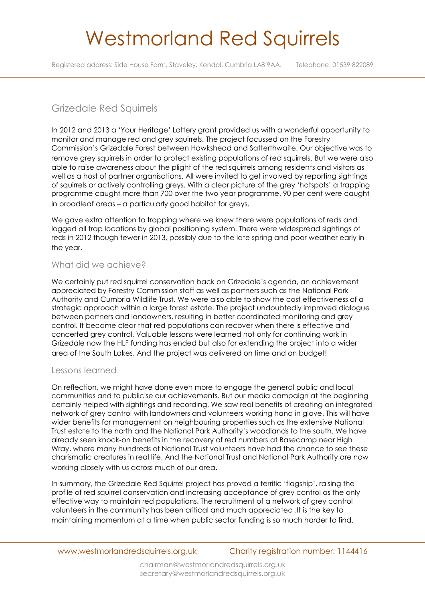# Westmorland Red Squirrels

Registered address: Side House Farm, Staveley, Kendal, Cumbria LA8 9AA. Telephone: 01539 822089

## Grizedale Red Squirrels

In 2012 and 2013 a 'Your Heritage' Lottery grant provided us with a wonderful opportunity to monitor and manage red and grey squirrels. The project focussed on the Forestry Commission's Grizedale Forest between Hawkshead and Satterthwaite. Our objective was to remove grey squirrels in order to protect existing populations of red squirrels. But we were also able to raise awareness about the plight of the red squirrels among residents and visitors as well as a host of partner organisations. All were invited to get involved by reporting sightings of squirrels or actively controlling greys. With a clear picture of the grey 'hotspots' a trapping programme caught more than 700 over the two year programme. 90 per cent were caught in broadleaf areas – a particularly good habitat for greys.

We gave extra attention to trapping where we knew there were populations of reds and logged all trap locations by global positioning system. There were widespread sightings of reds in 2012 though fewer in 2013, possibly due to the late spring and poor weather early in the year.

### What did we achieve?

We certainly put red squirrel conservation back on Grizedale's agenda, an achievement appreciated by Forestry Commission staff as well as partners such as the National Park Authority and Cumbria Wildlife Trust. We were also able to show the cost effectiveness of a strategic approach within a large forest estate. The project undoubtedly improved dialogue between partners and landowners, resulting in better coordinated monitoring and grey control. It became clear that red populations can recover when there is effective and concerted grey control. Valuable lessons were learned not only for continuing work in Grizedale now the HLF funding has ended but also for extending the project into a wider area of the South Lakes. And the project was delivered on time and on budget!

### Lessons learned

On reflection, we might have done even more to engage the general public and local communities and to publicise our achievements. But our media campaign at the beginning certainly helped with sightings and recording. We saw real benefits of creating an integrated network of grey control with landowners and volunteers working hand in glove. This will have wider benefits for management on neighbouring properties such as the extensive National Trust estate to the north and the National Park Authority's woodlands to the south. We have already seen knock-on benefits in the recovery of red numbers at Basecamp near High Wray, where many hundreds of National Trust volunteers have had the chance to see these charismatic creatures in real life. And the National Trust and National Park Authority are now working closely with us across much of our area.

In summary, the Grizedale Red Squirrel project has proved a terrific 'flagship', raising the profile of red squirrel conservation and increasing acceptance of grey control as the only effective way to maintain red populations. The recruitment of a network of grey control volunteers in the community has been critical and much appreciated .It is the key to maintaining momentum at a time when public sector funding is so much harder to find.